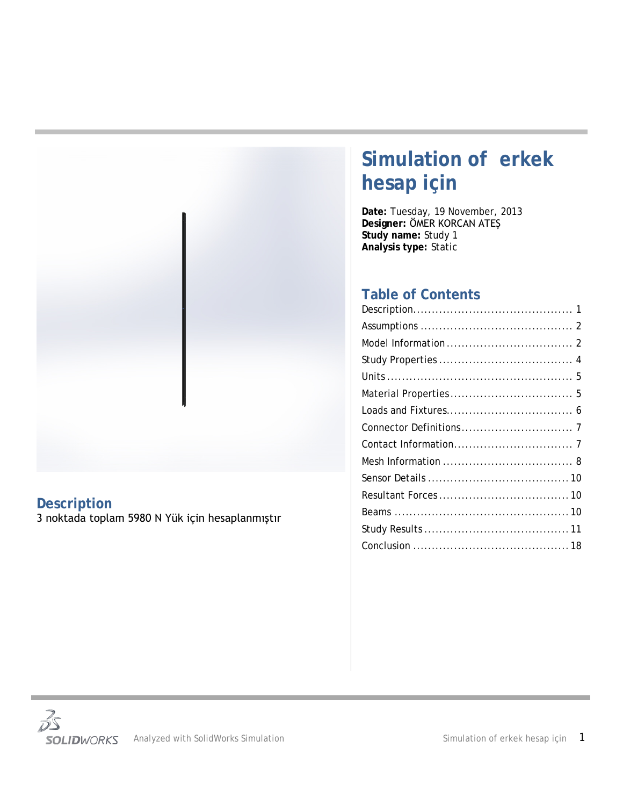

# <span id="page-0-0"></span>**Description**

3 noktada toplam 5980 N Yük için hesaplanmıştır

# **Simulation of erkek hesap için**

**Date:** Tuesday, 19 November, 2013 **Designer:** ÖMER KORCAN ATEŞ **Study name:** Study 1 **Analysis type:** Static

## **Table of Contents**

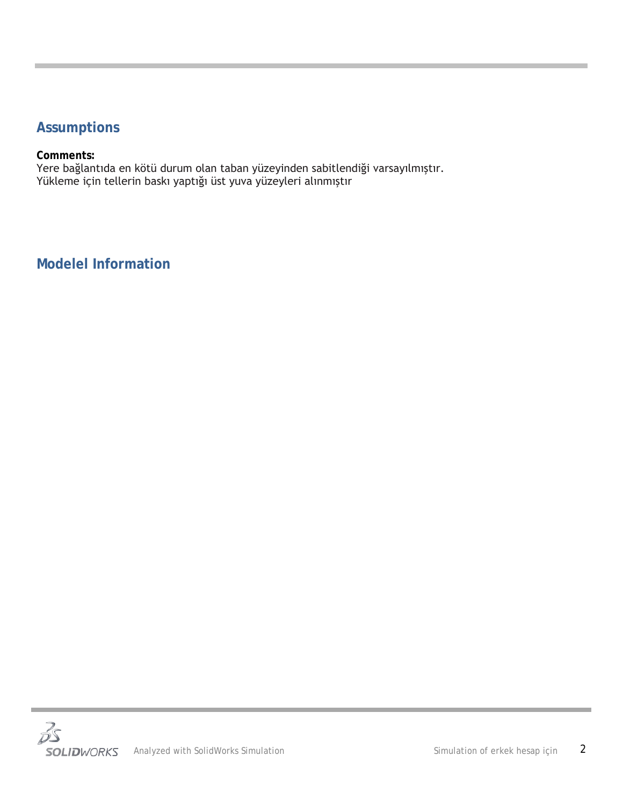## <span id="page-1-0"></span>**Assumptions**

#### **Comments:**

Yere bağlantıda en kötü durum olan taban yüzeyinden sabitlendiği varsayılmıştır. Yükleme için tellerin baskı yaptığı üst yuva yüzeyleri alınmıştır

<span id="page-1-1"></span>**Modelel Information**

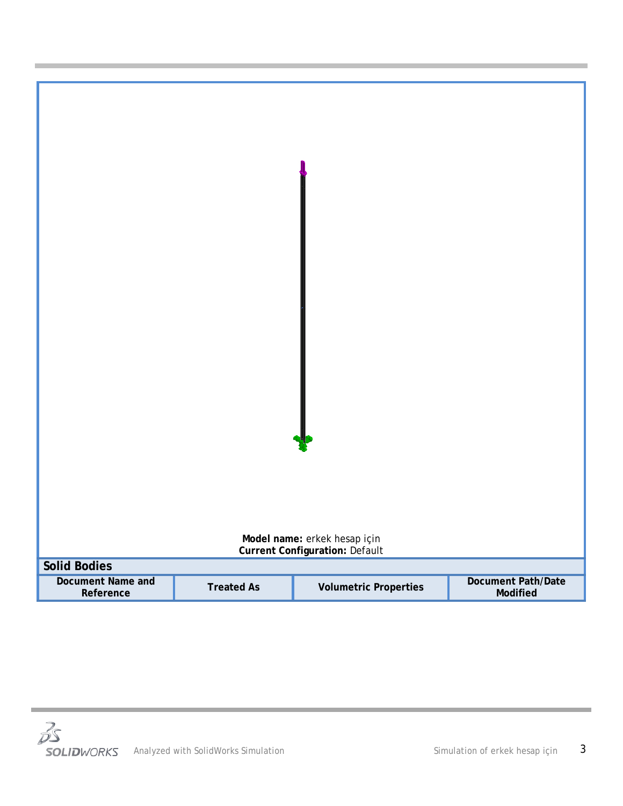

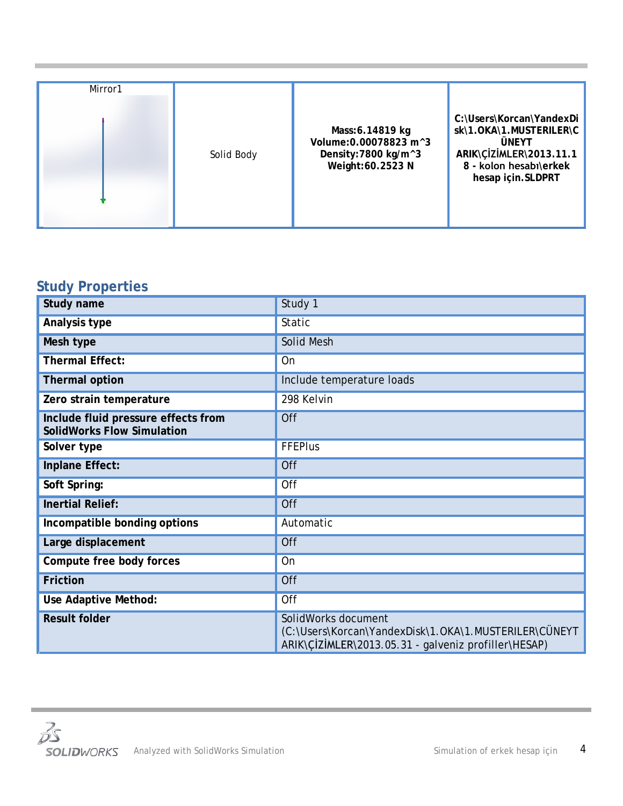## <span id="page-3-0"></span>**Study Properties**

| Study name                                                               | Study 1                                                                                                                              |
|--------------------------------------------------------------------------|--------------------------------------------------------------------------------------------------------------------------------------|
| Analysis type                                                            | <b>Static</b>                                                                                                                        |
| Mesh type                                                                | <b>Solid Mesh</b>                                                                                                                    |
| <b>Thermal Effect:</b>                                                   | On                                                                                                                                   |
| <b>Thermal option</b>                                                    | Include temperature loads                                                                                                            |
| Zero strain temperature                                                  | 298 Kelvin                                                                                                                           |
| Include fluid pressure effects from<br><b>SolidWorks Flow Simulation</b> | Off                                                                                                                                  |
| Solver type                                                              | <b>FFEPlus</b>                                                                                                                       |
| Inplane Effect:                                                          | Off                                                                                                                                  |
| Soft Spring:                                                             | Off                                                                                                                                  |
| <b>Inertial Relief:</b>                                                  | Off                                                                                                                                  |
| Incompatible bonding options                                             | Automatic                                                                                                                            |
| Large displacement                                                       | Off                                                                                                                                  |
| Compute free body forces                                                 | On                                                                                                                                   |
| <b>Friction</b>                                                          | Off                                                                                                                                  |
| Use Adaptive Method:                                                     | Off                                                                                                                                  |
| <b>Result folder</b>                                                     | SolidWorks document<br>(C:\Users\Korcan\YandexDisk\1.OKA\1.MUSTERILER\CÜNEYT<br>ARIK\CIZIMLER\2013.05.31 - galveniz profiller\HESAP) |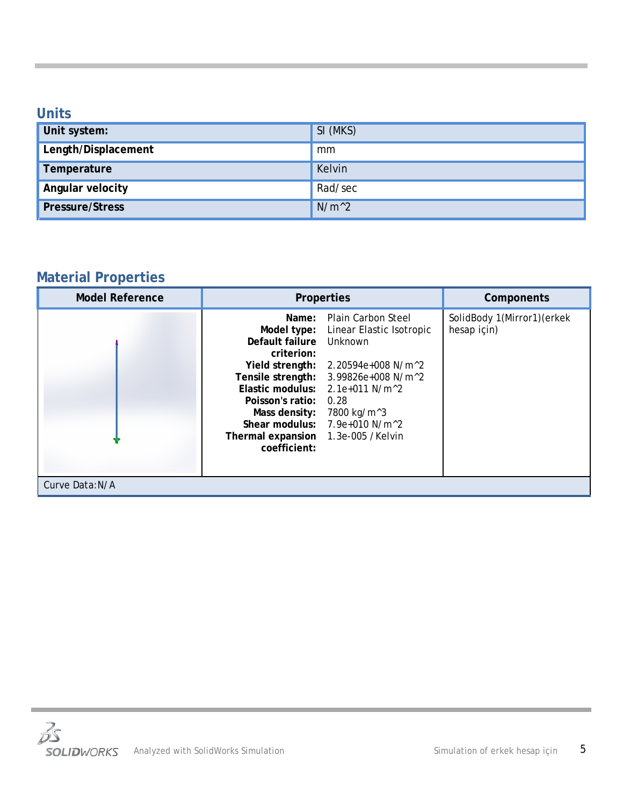### <span id="page-4-0"></span>**Units**

| Unit system:           | SI (MKS) |
|------------------------|----------|
| Length/Displacement    | mm       |
| Temperature            | Kelvin   |
| Angular velocity       | Rad/sec  |
| <b>Pressure/Stress</b> | $N/m^2$  |

# <span id="page-4-1"></span>**Material Properties**

| <b>Model Reference</b> | <b>Properties</b>                                                                                                                                                   | Components                                                                                                                                                                                                                                                      |                                            |
|------------------------|---------------------------------------------------------------------------------------------------------------------------------------------------------------------|-----------------------------------------------------------------------------------------------------------------------------------------------------------------------------------------------------------------------------------------------------------------|--------------------------------------------|
|                        | Name:<br>Model type:<br>Default failure<br>criterion:<br>Yield strength:<br>Poisson's ratio:<br>Mass density:<br>Thermal expansion 1.3e-005 /Kelvin<br>coefficient: | <b>Plain Carbon Steel</b><br>Linear Elastic Isotropic<br>Unknown<br>2.20594e+008 N/m^2<br>Tensile strength: 3.99826e+008 N/m^2<br>Elastic modulus: $2.1e+011$ N/m <sup><math>2</math></sup><br>0.28<br>7800 kg/m^3<br>Shear modulus: 7.9e+010 N/m <sup>^2</sup> | SolidBody 1(Mirror1) (erkek<br>hesap için) |
| Curve Data:N/A         |                                                                                                                                                                     |                                                                                                                                                                                                                                                                 |                                            |

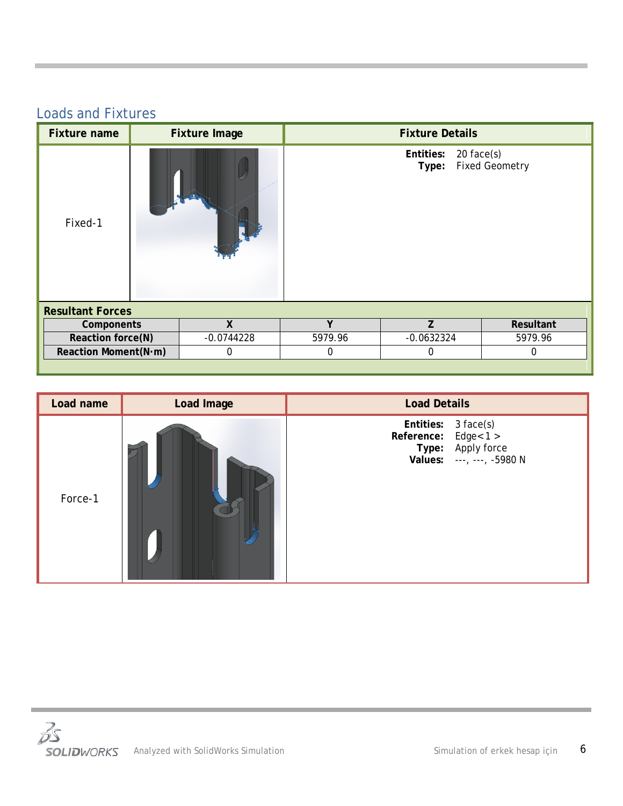## <span id="page-5-0"></span>Loads and Fixtures

| <b>Fixture name</b>     |              | <b>Fixture Image</b> |             | <b>Fixture Details</b> |              |                       |
|-------------------------|--------------|----------------------|-------------|------------------------|--------------|-----------------------|
| Fixed-1                 |              |                      |             | Entities:<br>Type:     | $20$ face(s) | <b>Fixed Geometry</b> |
| <b>Resultant Forces</b> |              |                      |             |                        |              |                       |
| Components              |              | χ                    | $\mathbf v$ | Z                      |              | Resultant             |
| Reaction force(N)       | $-0.0744228$ |                      | 5979.96     | $-0.0632324$           |              | 5979.96               |
| Reaction Moment(N·m)    | $\Omega$     |                      | $\mathbf 0$ | 0                      |              | $\Omega$              |
|                         |              |                      |             |                        |              |                       |

| Load name | Load Image | <b>Load Details</b>                                                                           |
|-----------|------------|-----------------------------------------------------------------------------------------------|
| Force-1   |            | Entities: 3 face(s)<br>Reference: Edge< 1 ><br>Type: Apply force<br>Values: ---, ---, -5980 N |

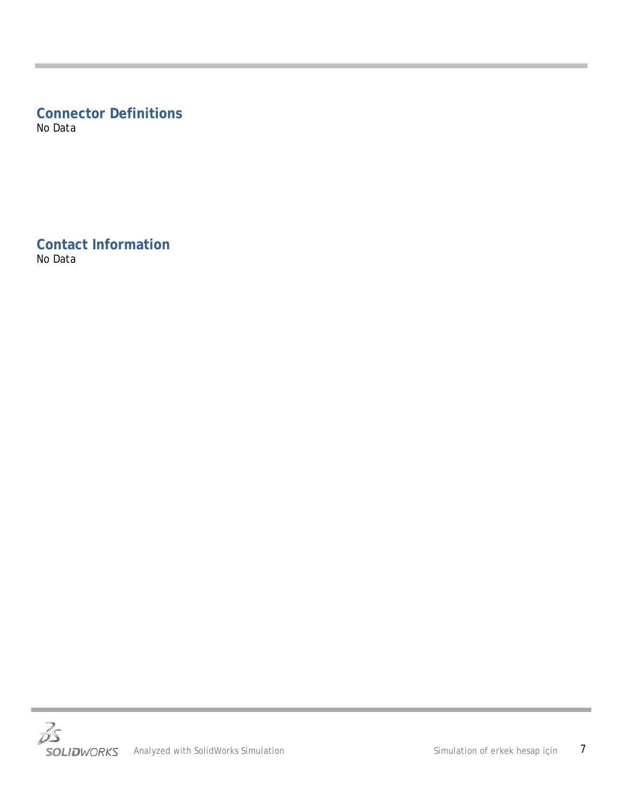# <span id="page-6-0"></span>**Connector Definitions**

No Data

<span id="page-6-1"></span>**Contact Information** No Data

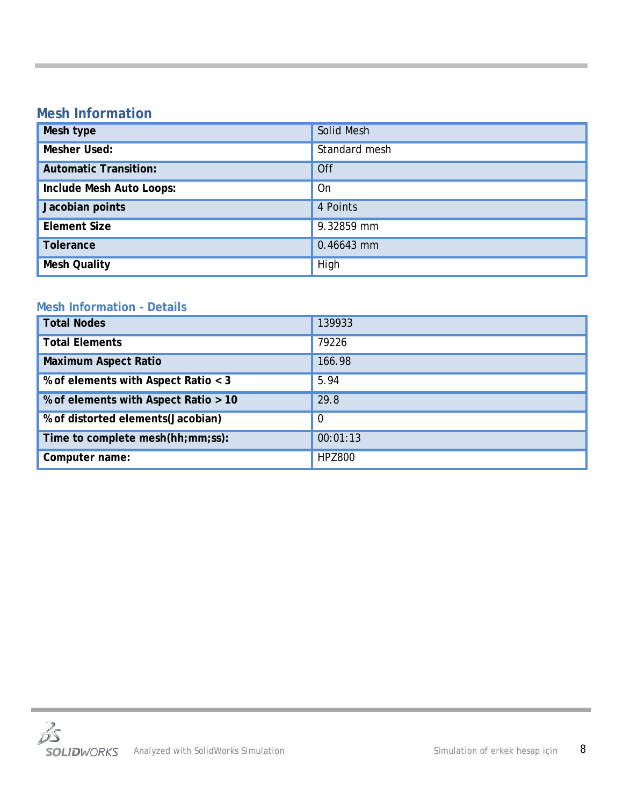## <span id="page-7-0"></span>**Mesh Information**

| Mesh type                    | Solid Mesh    |
|------------------------------|---------------|
| Mesher Used:                 | Standard mesh |
| <b>Automatic Transition:</b> | Off           |
| Include Mesh Auto Loops:     | On            |
| Jacobian points              | 4 Points      |
| <b>Element Size</b>          | 9.32859 mm    |
| <b>Tolerance</b>             | 0.46643 mm    |
| <b>Mesh Quality</b>          | High          |

### **Mesh Information - Details**

| <b>Total Nodes</b>                   | 139933        |
|--------------------------------------|---------------|
| <b>Total Elements</b>                | 79226         |
| <b>Maximum Aspect Ratio</b>          | 166.98        |
| % of elements with Aspect Ratio < 3  | 5.94          |
| % of elements with Aspect Ratio > 10 | 29.8          |
| % of distorted elements (Jacobian)   | 0             |
| Time to complete mesh(hh;mm;ss):     | 00:01:13      |
| Computer name:                       | <b>HPZ800</b> |

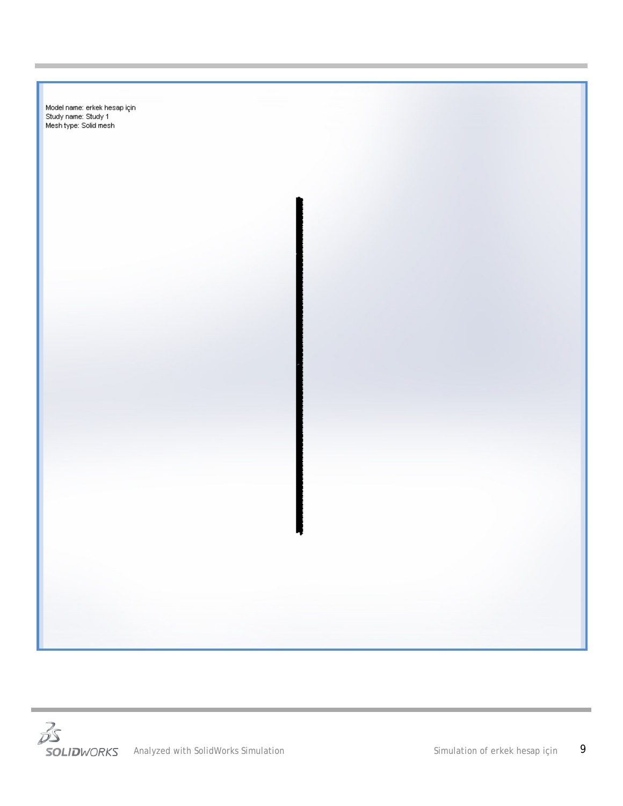



**College**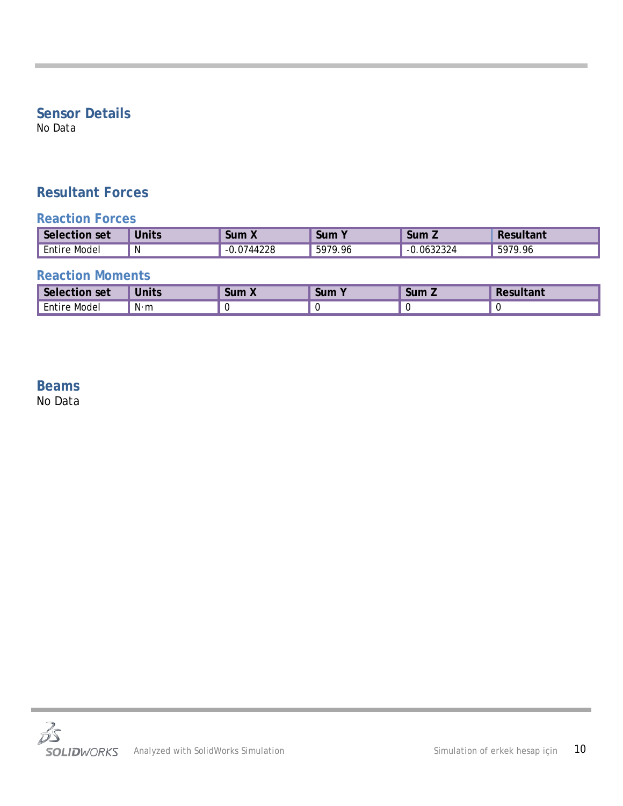## <span id="page-9-0"></span>**Sensor Details**

No Data

## <span id="page-9-1"></span>**Resultant Forces**

### **Reaction Forces**

| Selection<br>set    | <b>Units</b> | <b>Sum X</b>     | Sum     | Sum Z           | Resultant   |
|---------------------|--------------|------------------|---------|-----------------|-------------|
| <b>Entire Model</b> | N            | .0744228<br>- 11 | 5979.96 | u.0632324<br>-- | 5979<br>.96 |

### **Reaction Moments**

| Selection set       | <b>Units</b> | <b>Sum X</b> | Sum | Sum Z | Pesultant |
|---------------------|--------------|--------------|-----|-------|-----------|
| <b>Entire Model</b> | N⋅m          |              |     |       |           |

### <span id="page-9-2"></span>**Beams** No Data

 $\overline{\mathcal{S}}$ SOLIDWORKS Analyzed with SolidWorks Simulation Summation Simulation of erkek hesap için 10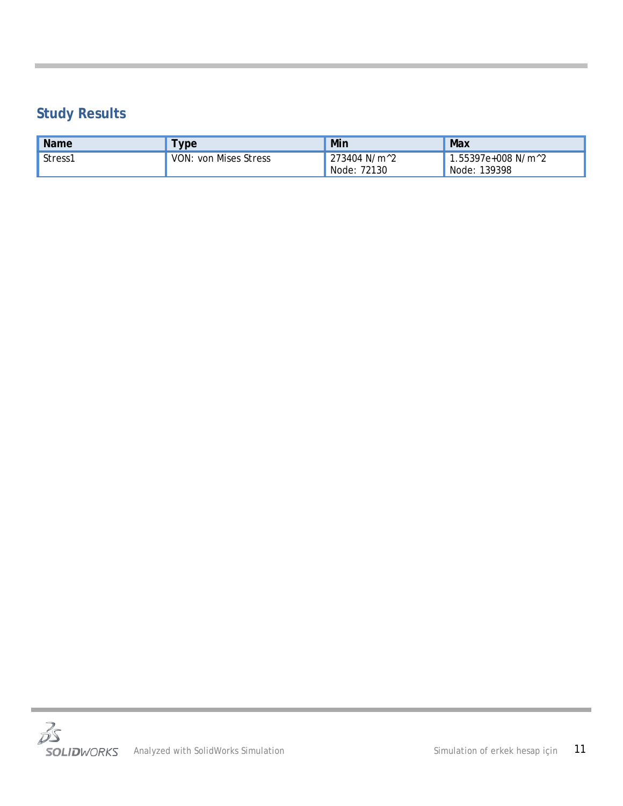# <span id="page-10-0"></span>**Study Results**

| <b>Name</b> | <b>vpe</b>         | Min                     | Max                             |
|-------------|--------------------|-------------------------|---------------------------------|
| Stress1     | VON:               | 273404 N/m <sup>2</sup> | $.55397e+008$ N/m <sup>^2</sup> |
|             | : von Mises Stress | Node: 72130             | Node: 139398                    |

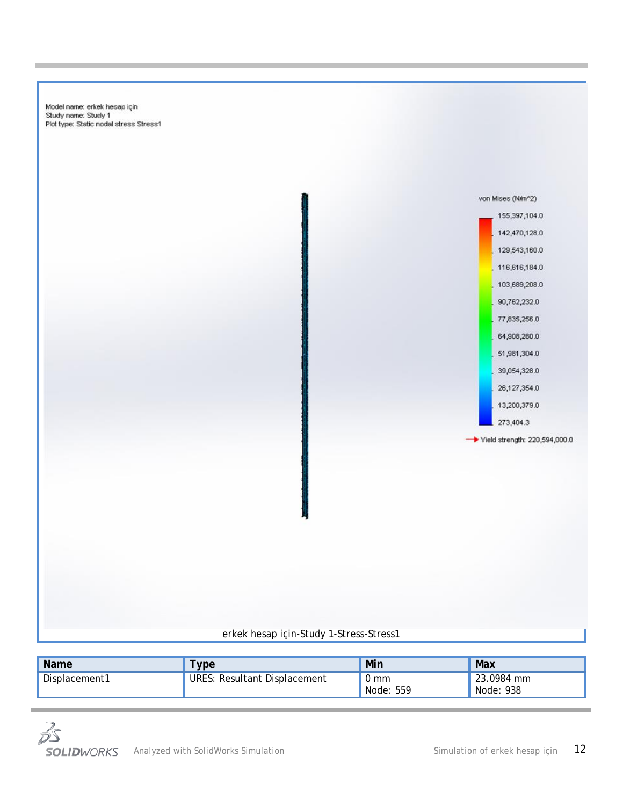Model name: erkek hesap için Study name: Study 1<br>Plot type: Static nodal stress Stress1



### erkek hesap için-Study 1-Stress-Stress1

| <b>Name</b>   | <b>ype</b>                   | Min                         | Max                     |
|---------------|------------------------------|-----------------------------|-------------------------|
| Displacement1 | URES: Resultant Displacement | $0 \text{ mm}$<br>Node: 559 | 23.0984 mm<br>Node: 938 |

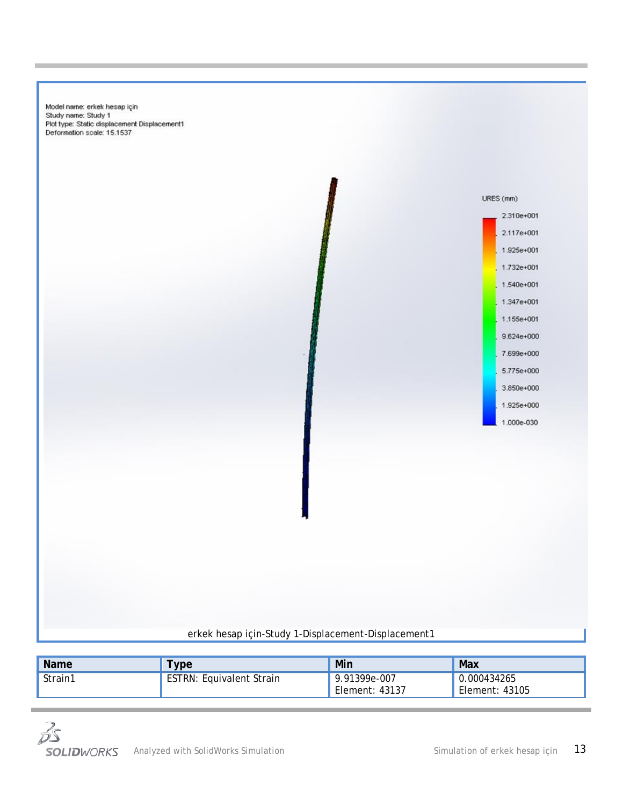Model name: erkek hesap için Study name: Study 1 Plot type: Static displacement Displacement1 Deformation scale: 15.1537



| <b>Name</b> | ype                             | Min                              | Max                           |
|-------------|---------------------------------|----------------------------------|-------------------------------|
| Strain1     | <b>ESTRN: Equivalent Strain</b> | 9.91399e-007<br>, Element: 43137 | 0.000434265<br>Element: 43105 |

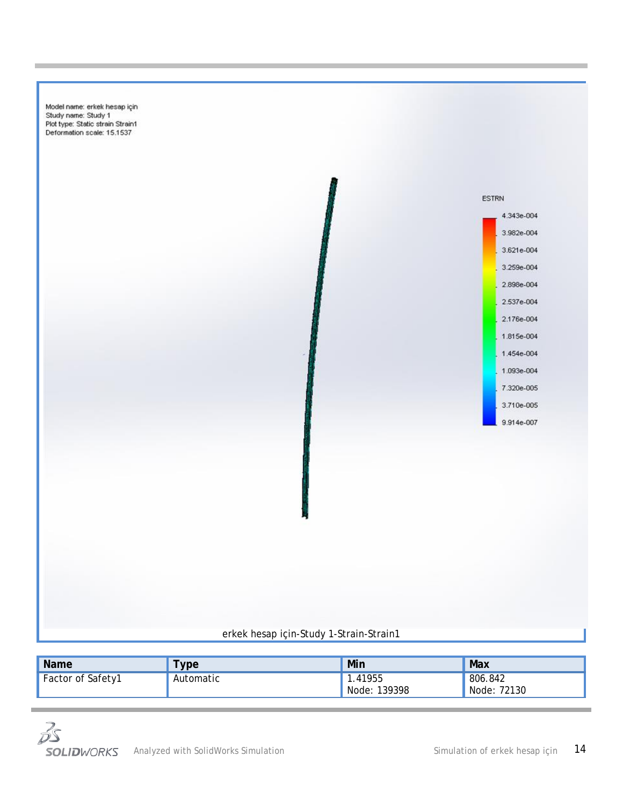Model name: erkek hesap için Study name: Study 1<br>Plot type: Static strain Strain1 Deformation scale: 15.1537



### erkek hesap için-Study 1-Strain-Strain1

| <b>Name</b>              | <b>ype</b> | Min                    | Max                    |
|--------------------------|------------|------------------------|------------------------|
| <b>Factor of Safety1</b> | Automatic  | .41955<br>Node: 139398 | 806.842<br>Node: 72130 |

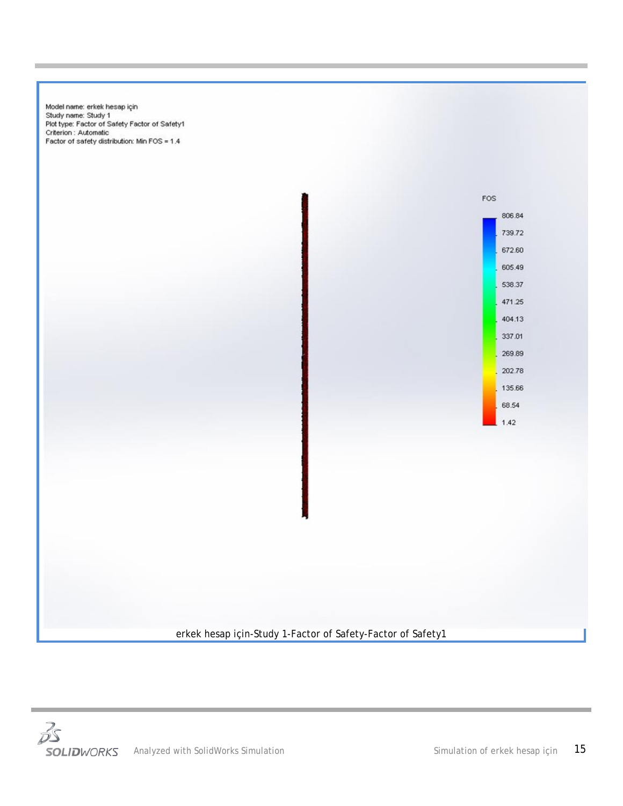Model name: erkek hesap için Study name: Study 1<br>Plot type: Factor of Safety Factor of Safety1 Criterion : Automatic Factor of safety distribution: Min FOS = 1.4



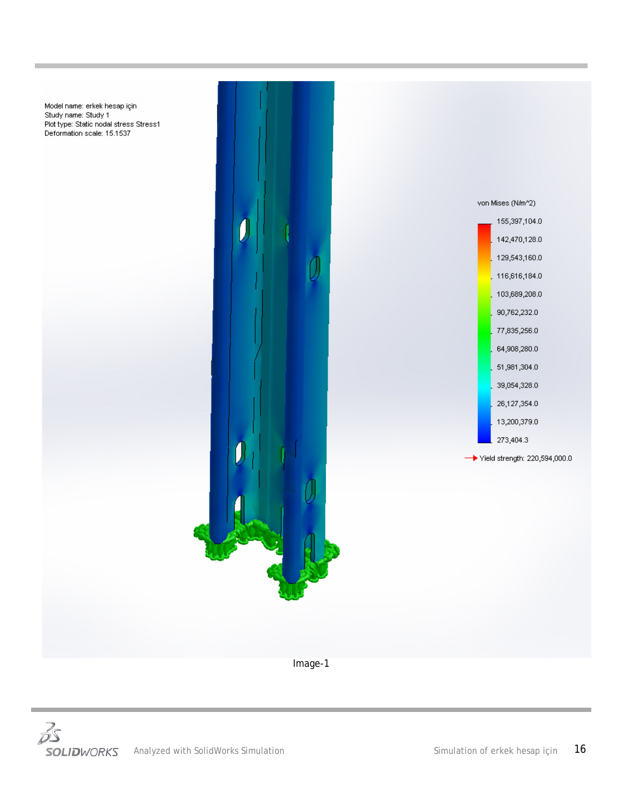

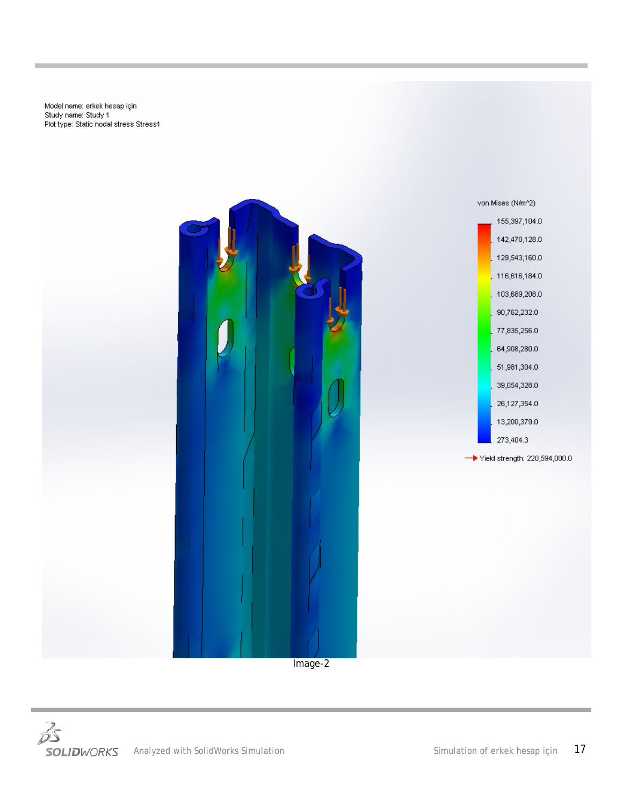Model name: erkek hesap için<br>Study name: Study 1 Plot type: Static nodal stress Stress1